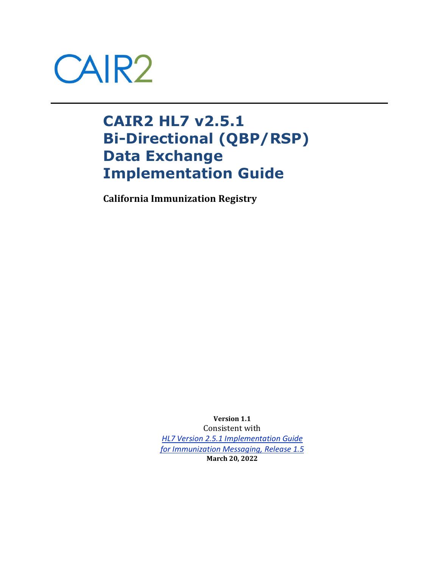

# **CAIR2 HL7 v2.5.1 Bi-Directional (QBP/RSP) Data Exchange Implementation Guide**

**California Immunization Registry**

**Version 1.1** Consistent with *[HL7 Version 2.5.1 Implementation Guide](http://www.cdc.gov/vaccines/programs/iis/technical-guidance/downloads/hl7guide-1-5-2014-11.pdf) [for Immunization Messaging, Release 1.5](http://www.cdc.gov/vaccines/programs/iis/technical-guidance/downloads/hl7guide-1-5-2014-11.pdf)* **March 20, 2022**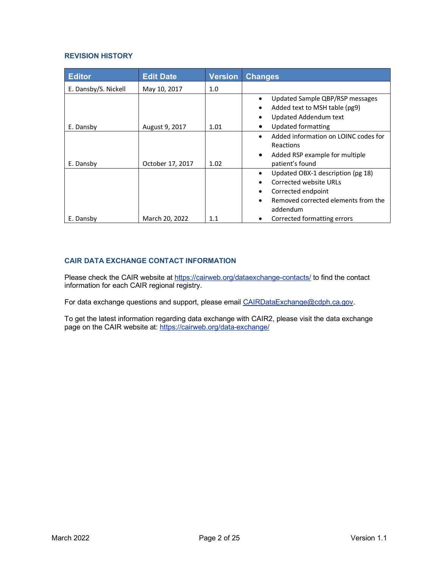#### **REVISION HISTORY**

| <b>Editor</b>        | <b>Edit Date</b> | <b>Version</b> | <b>Changes</b>                                                                                                                       |
|----------------------|------------------|----------------|--------------------------------------------------------------------------------------------------------------------------------------|
| E. Dansby/S. Nickell | May 10, 2017     | 1.0            |                                                                                                                                      |
| E. Dansby            | August 9, 2017   | 1.01           | Updated Sample QBP/RSP messages<br>Added text to MSH table (pg9)<br>Updated Addendum text<br>Updated formatting                      |
|                      |                  |                | Added information on LOINC codes for<br>Reactions                                                                                    |
| E. Dansby            | October 17, 2017 | 1.02           | Added RSP example for multiple<br>$\bullet$<br>patient's found                                                                       |
|                      |                  |                | Updated OBX-1 description (pg 18)<br>Corrected website URLs<br>Corrected endpoint<br>Removed corrected elements from the<br>addendum |
| E. Dansby            | March 20, 2022   | 1.1            | Corrected formatting errors                                                                                                          |

# **CAIR DATA EXCHANGE CONTACT INFORMATION**

Please check the CAIR website at <https://cairweb.org/dataexchange-contacts/> to find the contact information for each CAIR regional registry.

For data exchange questions and support, please email [CAIRDataExchange@cdph.ca.gov.](mailto:CAIRDataExchange@cdph.ca.gov)

To get the latest information regarding data exchange with CAIR2, please visit the data exchange page on the CAIR website at: <u>https://cairweb.org/data-exchange/</u>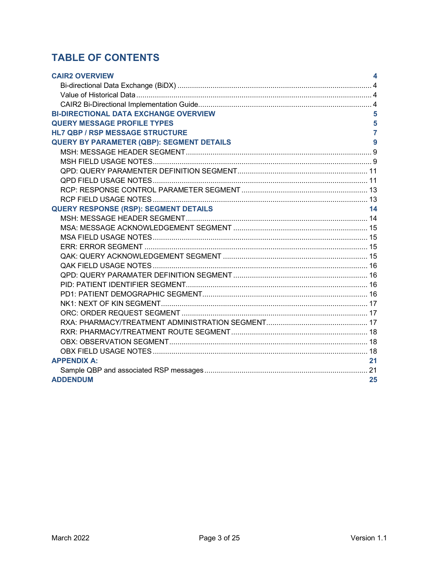# **TABLE OF CONTENTS**

| <b>CAIR2 OVERVIEW</b>                                           | 4              |
|-----------------------------------------------------------------|----------------|
|                                                                 |                |
|                                                                 |                |
|                                                                 |                |
| <b>BI-DIRECTIONAL DATA EXCHANGE OVERVIEW</b>                    | 5              |
| <b>QUERY MESSAGE PROFILE TYPES</b>                              | 5              |
| <b>HL7 QBP / RSP MESSAGE STRUCTURE</b>                          | $\overline{7}$ |
| <b>QUERY BY PARAMETER (QBP): SEGMENT DETAILS</b>                | 9              |
|                                                                 |                |
|                                                                 |                |
|                                                                 |                |
|                                                                 |                |
|                                                                 |                |
|                                                                 |                |
| <b>QUERY RESPONSE (RSP): SEGMENT DETAILS</b><br>$\overline{14}$ |                |
|                                                                 |                |
|                                                                 |                |
|                                                                 |                |
|                                                                 |                |
|                                                                 |                |
|                                                                 |                |
|                                                                 |                |
|                                                                 |                |
|                                                                 |                |
|                                                                 |                |
|                                                                 |                |
|                                                                 |                |
|                                                                 |                |
|                                                                 |                |
|                                                                 |                |
| <b>APPENDIX A:</b>                                              | 21             |
|                                                                 |                |
| <b>ADDENDUM</b>                                                 | 25             |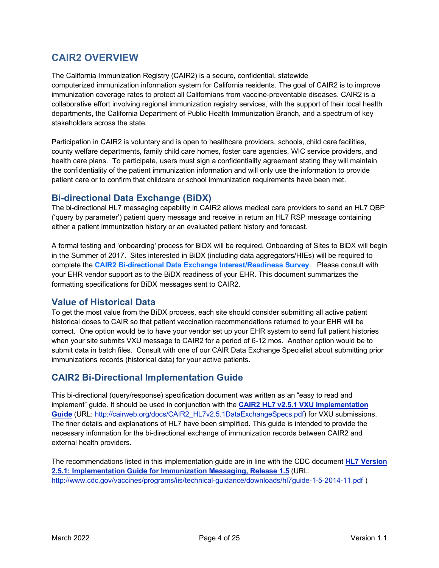# <span id="page-3-0"></span>**CAIR2 OVERVIEW**

The California Immunization Registry (CAIR2) is a secure, confidential, statewide computerized immunization information system for California residents. The goal of CAIR2 is to improve immunization coverage rates to protect all Californians from vaccine-preventable diseases. CAIR2 is a collaborative effort involving regional immunization registry services, with the support of their local health departments, the California Department of Public Health Immunization Branch, and a spectrum of key stakeholders across the state.

Participation in CAIR2 is voluntary and is open to healthcare providers, schools, child care facilities, county welfare departments, family child care homes, foster care agencies, WIC service providers, and health care plans. To participate, users must sign a [confidentiality agreement](http://cairweb.org/enroll-now/) stating they will maintain the confidentiality of the patient immunization information and will only use the information to provide patient care or to confirm that childcare or school immunization requirements have been met.

# <span id="page-3-1"></span>**Bi-directional Data Exchange (BiDX)**

The bi-directional HL7 messaging capability in CAIR2 allows medical care providers to send an HL7 QBP ('query by parameter') patient query message and receive in return an HL7 RSP message containing either a patient immunization history or an evaluated patient history and forecast.

A formal testing and 'onboarding' process for BiDX will be required. Onboarding of Sites to BiDX will begin in the Summer of 2017. Sites interested in BiDX (including data aggregators/HIEs) will be required to complete the **[CAIR2 Bi-directional Data Exchange Interest/Readiness Survey](https://www.surveymonkey.com/r/3HCK6VN)**. Please consult with your EHR vendor support as to the BiDX readiness of your EHR. This document summarizes the formatting specifications for BiDX messages sent to CAIR2.

# <span id="page-3-2"></span>**Value of Historical Data**

To get the most value from the BiDX process, each site should consider submitting all active patient historical doses to CAIR so that patient vaccination recommendations returned to your EHR will be correct. One option would be to have your vendor set up your EHR system to send full patient histories when your site submits VXU message to CAIR2 for a period of 6-12 mos. Another option would be to submit data in batch files. Consult with one of our CAIR Data Exchange Specialist about submitting prior immunizations records (historical data) for your active patients.

# <span id="page-3-3"></span>**CAIR2 Bi-Directional Implementation Guide**

This bi-directional (query/response) specification document was written as an "easy to read and implement" guide. It should be used in conjunction with the **CAIR2 HL7 v2.5.[1 VXU Implementation](http://cairweb.org/docs/CAIR2_HL7v2.5.1DataExchangeSpecs.pdf)** [Guide](http://cairweb.org/docs/CAIR2_HL7v2.5.1DataExchangeSpecs.pdf) (URL: [http://cairweb.org/docs/CAIR2\\_HL7v2.5.1DataExchangeSpecs.pdf\)](http://cairweb.org/docs/CAIR2_HL7v2.5.1DataExchangeSpecs.pdf) for VXU submissions. The finer details and explanations of HL7 have been simplified. This guide is intended to provide the necessary information for the bi-directional exchange of immunization records between CAIR2 and external health providers.

The recommendations listed in this implementation guide are in line with the CDC document **[HL7 Version](http://www.cdc.gov/vaccines/programs/iis/technical-guidance/downloads/hl7guide-1-5-2014-11.pdf) [2.5.1: Implementation Guide for Immunization Messaging, Release 1.5](http://www.cdc.gov/vaccines/programs/iis/technical-guidance/downloads/hl7guide-1-5-2014-11.pdf)** (URL: <http://www.cdc.gov/vaccines/programs/iis/technical-guidance/downloads/hl7guide-1-5-2014-11.pdf> )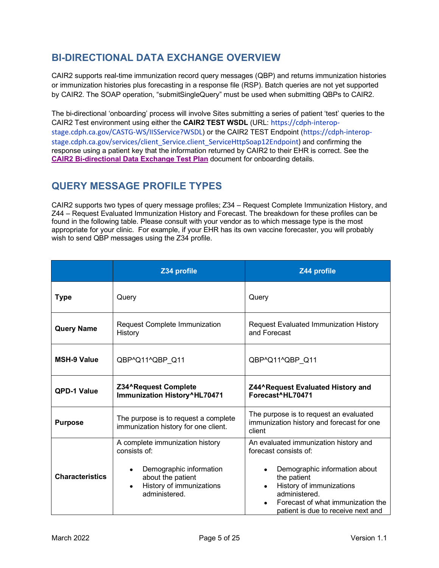# <span id="page-4-0"></span>**BI-DIRECTIONAL DATA EXCHANGE OVERVIEW**

CAIR2 supports real-time immunization record query messages (QBP) and returns immunization histories or immunization histories plus forecasting in a response file (RSP). Batch queries are not yet supported by CAIR2. The SOAP operation, "submitSingleQuery" must be used when submitting QBPs to CAIR2.

The bi-directional 'onboarding' process will involve Sites submitting a series of patient 'test' queries to the CAIR2 Test environment using either the **CAIR2 TEST WSDL** (URL: [https://cdph-interop](https://cdph-interop-stage.cdph.ca.gov/CASTG-WS/IISService?WSDL)[stage.cdph.ca.gov/CASTG-WS/IISService?WSDL](https://cdph-interop-stage.cdph.ca.gov/CASTG-WS/IISService?WSDL)) or the CAIR2 TEST Endpoint ([https://cdph-interop](https://cdph-interop-stage.cdph.ca.gov/services/client_Service.client_ServiceHttpSoap12Endpoint)[stage.cdph.ca.gov/services/client\\_Service.client\\_ServiceHttpSoap12Endpoint\)](https://cdph-interop-stage.cdph.ca.gov/services/client_Service.client_ServiceHttpSoap12Endpoint) and confirming the response using a patient key that the information returned by CAIR2 to their EHR is correct. See the **CAIR2 Bi-directional [Data Exchange Test Plan](http://cairweb.org/docs/CAIR2BiDXTestPlan.pdf)** document for onboarding details.

# <span id="page-4-1"></span>**QUERY MESSAGE PROFILE TYPES**

CAIR2 supports two types of query message profiles; Z34 – Request Complete Immunization History, and Z44 – Request Evaluated Immunization History and Forecast. The breakdown for these profiles can be found in the following table. Please consult with your vendor as to which message type is the most appropriate for your clinic. For example, if your EHR has its own vaccine forecaster, you will probably wish to send QBP messages using the Z34 profile.

|                        | Z34 profile                                                                                                                                                                   | Z44 profile                                                                                                                                                                                                                            |  |
|------------------------|-------------------------------------------------------------------------------------------------------------------------------------------------------------------------------|----------------------------------------------------------------------------------------------------------------------------------------------------------------------------------------------------------------------------------------|--|
| <b>Type</b>            | Query                                                                                                                                                                         | Query                                                                                                                                                                                                                                  |  |
| <b>Query Name</b>      | Request Complete Immunization<br>History                                                                                                                                      | Request Evaluated Immunization History<br>and Forecast                                                                                                                                                                                 |  |
| <b>MSH-9 Value</b>     | QBP^Q11^QBP_Q11                                                                                                                                                               | QBP^Q11^QBP_Q11                                                                                                                                                                                                                        |  |
| <b>QPD-1 Value</b>     | Z34^Request Complete<br>Immunization History^HL70471                                                                                                                          | Z44^Request Evaluated History and<br>Forecast^HL70471                                                                                                                                                                                  |  |
| <b>Purpose</b>         | The purpose is to request an evaluated<br>The purpose is to request a complete<br>immunization history and forecast for one<br>immunization history for one client.<br>client |                                                                                                                                                                                                                                        |  |
| <b>Characteristics</b> | A complete immunization history<br>consists of:<br>Demographic information<br>about the patient<br>History of immunizations<br>administered.                                  | An evaluated immunization history and<br>forecast consists of:<br>Demographic information about<br>the patient<br>History of immunizations<br>administered.<br>Forecast of what immunization the<br>patient is due to receive next and |  |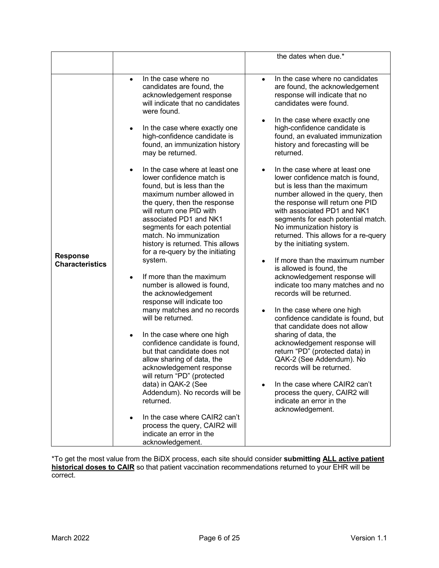\*To get the most value from the BiDX process, each site should consider **submitting ALL active patient historical doses to CAIR** so that patient vaccination recommendations returned to your EHR will be correct.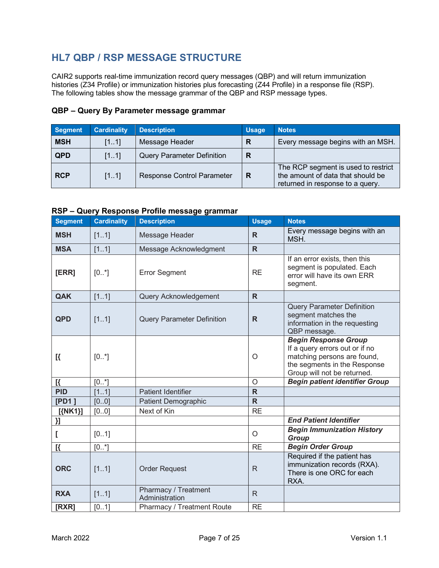# <span id="page-6-0"></span>**HL7 QBP / RSP MESSAGE STRUCTURE**

CAIR2 supports real-time immunization record query messages (QBP) and will return immunization histories (Z34 Profile) or immunization histories plus forecasting (Z44 Profile) in a response file (RSP). The following tables show the message grammar of the QBP and RSP message types.

| <b>Segment</b> | <b>Cardinality</b> | <b>Description</b>                | <b>Usage</b> | <b>Notes</b>                                                                                                 |
|----------------|--------------------|-----------------------------------|--------------|--------------------------------------------------------------------------------------------------------------|
| <b>MSH</b>     | [11]               | Message Header                    | R            | Every message begins with an MSH.                                                                            |
| <b>QPD</b>     | [11]               | <b>Query Parameter Definition</b> | R            |                                                                                                              |
| <b>RCP</b>     | [11]               | <b>Response Control Parameter</b> | R            | The RCP segment is used to restrict<br>the amount of data that should be<br>returned in response to a query. |

### **QBP – Query By Parameter message grammar**

### **RSP – Query Response Profile message grammar**

| <b>Segment</b> | <b>Cardinality</b> | <b>Description</b>                     | <b>Usage</b> | <b>Notes</b>                                                                                                                                                |
|----------------|--------------------|----------------------------------------|--------------|-------------------------------------------------------------------------------------------------------------------------------------------------------------|
| <b>MSH</b>     | [11]               | Message Header                         | R            | Every message begins with an<br>MSH.                                                                                                                        |
| <b>MSA</b>     | [11]               | Message Acknowledgment                 | $\mathsf{R}$ |                                                                                                                                                             |
| [ERR]          | $[0, *]$           | <b>Error Segment</b>                   | <b>RE</b>    | If an error exists, then this<br>segment is populated. Each<br>error will have its own ERR<br>segment.                                                      |
| QAK            | [11]               | Query Acknowledgement                  | $\mathsf{R}$ |                                                                                                                                                             |
| <b>QPD</b>     | [11]               | <b>Query Parameter Definition</b>      | $\mathsf{R}$ | <b>Query Parameter Definition</b><br>segment matches the<br>information in the requesting<br>QBP message.                                                   |
| $\mathbb{R}$   | $[0, *]$           |                                        | O            | <b>Begin Response Group</b><br>If a query errors out or if no<br>matching persons are found,<br>the segments in the Response<br>Group will not be returned. |
| $\mathbb{R}$   | $[0^*]$            |                                        | $\circ$      | <b>Begin patient identifier Group</b>                                                                                                                       |
| <b>PID</b>     | [11]               | <b>Patient Identifier</b>              | $\mathsf{R}$ |                                                                                                                                                             |
| [PD1]          | [00]               | <b>Patient Demographic</b>             | $\mathsf{R}$ |                                                                                                                                                             |
| $[{NN1}]$      | [00]               | Next of Kin                            | <b>RE</b>    |                                                                                                                                                             |
| }]             |                    |                                        |              | <b>End Patient Identifier</b>                                                                                                                               |
|                | [01]               |                                        | O            | <b>Begin Immunization History</b><br>Group                                                                                                                  |
| $\mathbb{R}$   | $[0, *]$           |                                        | <b>RE</b>    | <b>Begin Order Group</b>                                                                                                                                    |
| <b>ORC</b>     | [11]               | <b>Order Request</b>                   | R.           | Required if the patient has<br>immunization records (RXA).<br>There is one ORC for each<br>RXA.                                                             |
| <b>RXA</b>     | [11]               | Pharmacy / Treatment<br>Administration | $\mathsf{R}$ |                                                                                                                                                             |
| [RXR]          | [01]               | Pharmacy / Treatment Route             | <b>RE</b>    |                                                                                                                                                             |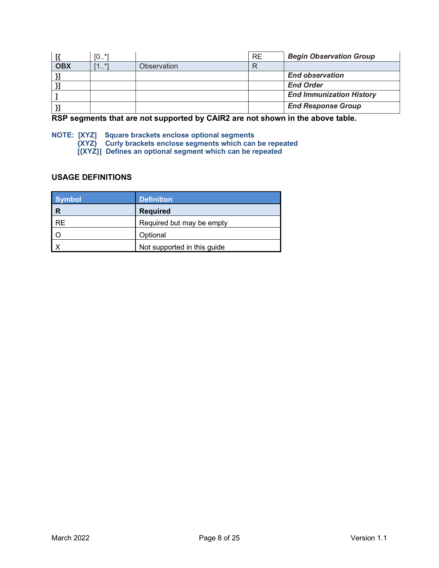|            | $[0*]$             |             | <b>RE</b> | <b>Begin Observation Group</b>  |
|------------|--------------------|-------------|-----------|---------------------------------|
| <b>OBX</b> | *7<br>1<br><b></b> | Observation |           |                                 |
|            |                    |             |           | <b>End observation</b>          |
|            |                    |             |           | <b>End Order</b>                |
|            |                    |             |           | <b>End Immunization History</b> |
|            |                    |             |           | <b>End Response Group</b>       |

**RSP segments that are not supported by CAIR2 are not shown in the above table.**

**NOTE: [XYZ] Square brackets enclose optional segments {XYZ} Curly brackets enclose segments which can be repeated [{XYZ}] Defines an optional segment which can be repeated**

### **USAGE DEFINITIONS**

| <b>Symbol</b> | <b>Definition</b>           |
|---------------|-----------------------------|
| R             | <b>Required</b>             |
| <b>RE</b>     | Required but may be empty   |
|               | Optional                    |
|               | Not supported in this guide |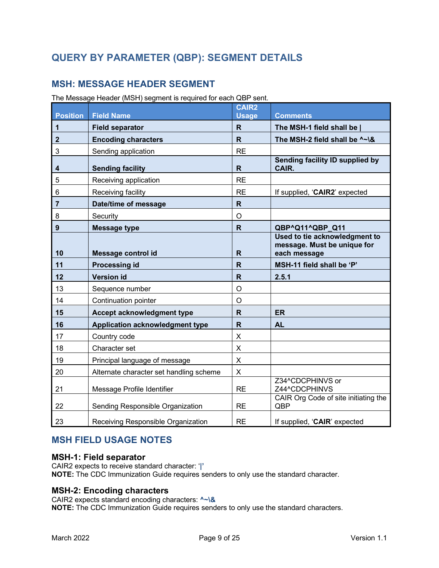# <span id="page-8-0"></span>**QUERY BY PARAMETER (QBP): SEGMENT DETAILS**

# <span id="page-8-1"></span>**MSH: MESSAGE HEADER SEGMENT**

The Message Header (MSH) segment is required for each QBP sent.

| <b>Position</b> | <b>Field Name</b>                       | <b>CAIR2</b><br><b>Usage</b> | <b>Comments</b>                                                              |
|-----------------|-----------------------------------------|------------------------------|------------------------------------------------------------------------------|
| 1               | <b>Field separator</b>                  | R.                           | The MSH-1 field shall be                                                     |
| $\mathbf{2}$    | <b>Encoding characters</b>              | R.                           | The MSH-2 field shall be ^~\&                                                |
| 3               | Sending application                     | <b>RE</b>                    |                                                                              |
| 4               | <b>Sending facility</b>                 | R                            | Sending facility ID supplied by<br>CAIR.                                     |
| 5               | Receiving application                   | <b>RE</b>                    |                                                                              |
| 6               | Receiving facility                      | <b>RE</b>                    | If supplied, 'CAIR2' expected                                                |
| 7               | Date/time of message                    | $\mathsf{R}$                 |                                                                              |
| 8               | Security                                | O                            |                                                                              |
| 9               | <b>Message type</b>                     | $\mathbf R$                  | QBP^Q11^QBP Q11                                                              |
| 10              | Message control id                      | R                            | Used to tie acknowledgment to<br>message. Must be unique for<br>each message |
| 11              | <b>Processing id</b>                    | R                            | MSH-11 field shall be 'P'                                                    |
| 12              | <b>Version id</b>                       | $\mathsf{R}$                 | 2.5.1                                                                        |
| 13              | Sequence number                         | O                            |                                                                              |
| 14              | Continuation pointer                    | O                            |                                                                              |
| 15              | Accept acknowledgment type              | R                            | <b>ER</b>                                                                    |
| 16              | Application acknowledgment type         | R                            | <b>AL</b>                                                                    |
| 17              | Country code                            | Χ                            |                                                                              |
| 18              | Character set                           | X                            |                                                                              |
| 19              | Principal language of message           | X                            |                                                                              |
| 20              | Alternate character set handling scheme | X.                           |                                                                              |
| 21              | Message Profile Identifier              | <b>RE</b>                    | Z34^CDCPHINVS or<br>Z44^CDCPHINVS                                            |
| 22              | Sending Responsible Organization        | <b>RE</b>                    | CAIR Org Code of site initiating the<br>QBP                                  |
| 23              | Receiving Responsible Organization      | <b>RE</b>                    | If supplied, 'CAIR' expected                                                 |

# <span id="page-8-2"></span>**MSH FIELD USAGE NOTES**

### **MSH-1: Field separator**

CAIR2 expects to receive standard character: '**|' NOTE:** The CDC Immunization Guide requires senders to only use the standard character.

### **MSH-2: Encoding characters**

CAIR2 expects standard encoding characters: **^~\& NOTE:** The CDC Immunization Guide requires senders to only use the standard characters.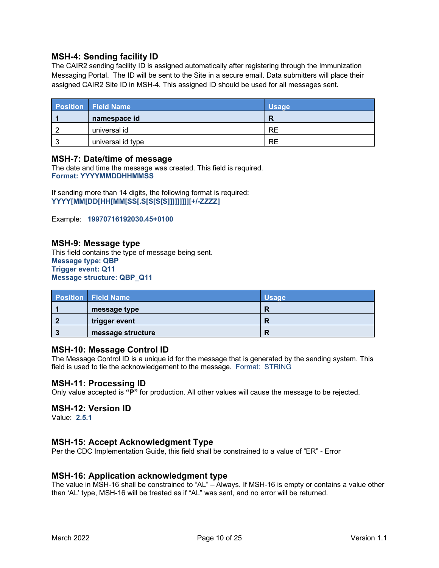### **MSH-4: Sending facility ID**

The CAIR2 sending facility ID is assigned automatically after registering through the Immunization Messaging Portal. The ID will be sent to the Site in a secure email. Data submitters will place their assigned CAIR2 Site ID in MSH-4. This assigned ID should be used for all messages sent.

| <b>Position</b> Field Name | <b>Usage</b> |
|----------------------------|--------------|
| namespace id               |              |
| universal id               | RE           |
| universal id type          | RE           |

#### **MSH-7: Date/time of message**

The date and time the message was created. This field is required. **Format: YYYYMMDDHHMMSS**

If sending more than 14 digits, the following format is required: **YYYY[MM[DD[HH[MM[SS[.S[S[S[S]]]]]]]]][+/-ZZZZ]**

Example: **19970716192030.45+0100**

#### **MSH-9: Message type**

This field contains the type of message being sent. **Message type: QBP Trigger event: Q11 Message structure: QBP\_Q11**

| <b>Position Field Name</b> | <b>Usage</b> |
|----------------------------|--------------|
| message type               |              |
| trigger event              |              |
| message structure          |              |

#### **MSH-10: Message Control ID**

The Message Control ID is a unique id for the message that is generated by the sending system. This field is used to tie the acknowledgement to the message. Format: STRING

#### **MSH-11: Processing ID**

Only value accepted is **"P"** for production. All other values will cause the message to be rejected.

#### **MSH-12: Version ID**

Value: **2.5.1**

### **MSH-15: Accept Acknowledgment Type**

Per the CDC Implementation Guide, this field shall be constrained to a value of "ER" - Error

#### **MSH-16: Application acknowledgment type**

The value in MSH-16 shall be constrained to "AL" – Always. If MSH-16 is empty or contains a value other than 'AL' type, MSH-16 will be treated as if "AL" was sent, and no error will be returned.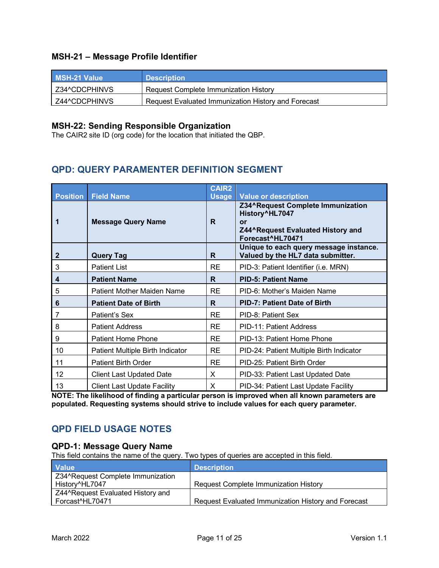# **MSH-21 – Message Profile Identifier**

| <b>MSH-21 Value</b> | <b>Description</b>                                  |
|---------------------|-----------------------------------------------------|
| Z34^CDCPHINVS       | Request Complete Immunization History               |
| Z44^CDCPHINVS       | Request Evaluated Immunization History and Forecast |

# **MSH-22: Sending Responsible Organization**

The CAIR2 site ID (org code) for the location that initiated the QBP.

# <span id="page-10-0"></span>**QPD: QUERY PARAMENTER DEFINITION SEGMENT**

|                      |                                                | <b>CAIR2</b>      |                                                                                                                                                   |
|----------------------|------------------------------------------------|-------------------|---------------------------------------------------------------------------------------------------------------------------------------------------|
| <b>Position</b><br>1 | <b>Field Name</b><br><b>Message Query Name</b> | <b>Usage</b><br>R | <b>Value or description</b><br>Z34^Request Complete Immunization<br>History^HL7047<br>or<br>Z44^Request Evaluated History and<br>Forecast^HL70471 |
| $\mathbf{2}$         | <b>Query Tag</b>                               | R.                | Unique to each query message instance.<br>Valued by the HL7 data submitter.                                                                       |
| 3                    | <b>Patient List</b>                            | <b>RE</b>         | PID-3: Patient Identifier (i.e. MRN)                                                                                                              |
| 4                    | <b>Patient Name</b>                            | R.                | <b>PID-5: Patient Name</b>                                                                                                                        |
| 5                    | Patient Mother Maiden Name                     | <b>RE</b>         | PID-6: Mother's Maiden Name                                                                                                                       |
| 6                    | <b>Patient Date of Birth</b>                   | R                 | <b>PID-7: Patient Date of Birth</b>                                                                                                               |
| 7                    | Patient's Sex                                  | <b>RE</b>         | PID-8: Patient Sex                                                                                                                                |
| 8                    | <b>Patient Address</b>                         | <b>RE</b>         | PID-11: Patient Address                                                                                                                           |
| 9                    | <b>Patient Home Phone</b>                      | <b>RE</b>         | PID-13: Patient Home Phone                                                                                                                        |
| 10                   | Patient Multiple Birth Indicator               | <b>RE</b>         | PID-24: Patient Multiple Birth Indicator                                                                                                          |
| 11                   | <b>Patient Birth Order</b>                     | <b>RE</b>         | PID-25: Patient Birth Order                                                                                                                       |
| 12                   | <b>Client Last Updated Date</b>                | X                 | PID-33: Patient Last Updated Date                                                                                                                 |
| 13                   | <b>Client Last Update Facility</b>             | Χ                 | PID-34: Patient Last Update Facility                                                                                                              |

**NOTE: The likelihood of finding a particular person is improved when all known parameters are populated. Requesting systems should strive to include values for each query parameter.**

# <span id="page-10-1"></span>**QPD FIELD USAGE NOTES**

### **QPD-1: Message Query Name**

This field contains the name of the query. Two types of queries are accepted in this field.

| <b>Value</b>                      | <b>Description</b>                                  |
|-----------------------------------|-----------------------------------------------------|
| Z34^Request Complete Immunization |                                                     |
| History^HL7047                    | <b>Request Complete Immunization History</b>        |
| Z44^Request Evaluated History and |                                                     |
| Forcast <sup>A</sup> HL70471      | Request Evaluated Immunization History and Forecast |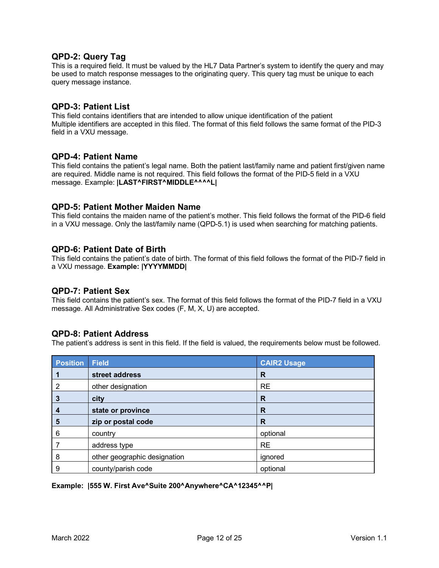#### **QPD-2: Query Tag**

This is a required field. It must be valued by the HL7 Data Partner's system to identify the query and may be used to match response messages to the originating query. This query tag must be unique to each query message instance.

#### **QPD-3: Patient List**

This field contains identifiers that are intended to allow unique identification of the patient Multiple identifiers are accepted in this filed. The format of this field follows the same format of the PID-3 field in a VXU message.

#### **QPD-4: Patient Name**

This field contains the patient's legal name. Both the patient last/family name and patient first/given name are required. Middle name is not required. This field follows the format of the PID-5 field in a VXU message. Example: **|LAST^FIRST^MIDDLE^^^^L|**

#### **QPD-5: Patient Mother Maiden Name**

This field contains the maiden name of the patient's mother. This field follows the format of the PID-6 field in a VXU message. Only the last/family name (QPD-5.1) is used when searching for matching patients.

#### **QPD-6: Patient Date of Birth**

This field contains the patient's date of birth. The format of this field follows the format of the PID-7 field in a VXU message. **Example: |YYYYMMDD|**

### **QPD-7: Patient Sex**

This field contains the patient's sex. The format of this field follows the format of the PID-7 field in a VXU message. All Administrative Sex codes (F, M, X, U) are accepted.

#### **QPD-8: Patient Address**

The patient's address is sent in this field. If the field is valued, the requirements below must be followed.

| <b>Position</b> | <b>Field</b>                 | <b>CAIR2 Usage</b> |
|-----------------|------------------------------|--------------------|
|                 | street address               | R                  |
| $\overline{2}$  | other designation            | <b>RE</b>          |
| 3               | city                         | R                  |
| 4               | state or province            | R                  |
| 5               | zip or postal code           | R                  |
| 6               | country                      | optional           |
|                 | address type                 | <b>RE</b>          |
| 8               | other geographic designation | ignored            |
| 9               | county/parish code           | optional           |

**Example: |555 W. First Ave^Suite 200^Anywhere^CA^12345^^P|**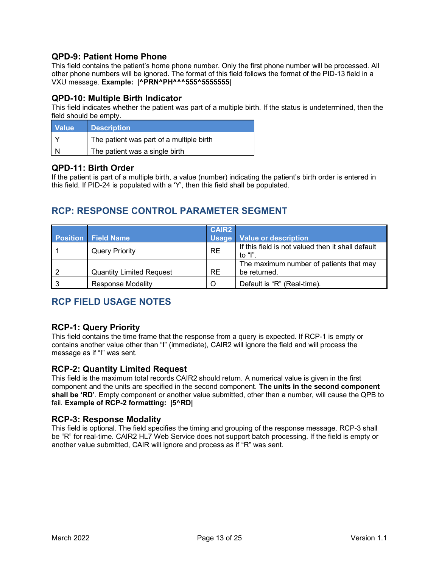# **QPD-9: Patient Home Phone**

This field contains the patient's home phone number. Only the first phone number will be processed. All other phone numbers will be ignored. The format of this field follows the format of the PID-13 field in a VXU message. **Example: |^PRN^PH^^^555^5555555|**

### **QPD-10: Multiple Birth Indicator**

This field indicates whether the patient was part of a multiple birth. If the status is undetermined, then the field should be empty.

| <b>Value</b> | <b>Description</b>                       |
|--------------|------------------------------------------|
|              | The patient was part of a multiple birth |
|              | The patient was a single birth           |

#### **QPD-11: Birth Order**

If the patient is part of a multiple birth, a value (number) indicating the patient's birth order is entered in this field. If PID-24 is populated with a 'Y', then this field shall be populated.

# <span id="page-12-0"></span>**RCP: RESPONSE CONTROL PARAMETER SEGMENT**

|                                 | <b>CAIR2</b> |                                                              |
|---------------------------------|--------------|--------------------------------------------------------------|
| <b>Position Field Name</b>      |              | Usage   Value or description                                 |
| <b>Query Priority</b>           | <b>RE</b>    | If this field is not valued then it shall default<br>to "l". |
| <b>Quantity Limited Request</b> | <b>RE</b>    | The maximum number of patients that may<br>be returned.      |
| <b>Response Modality</b>        | O            | Default is "R" (Real-time).                                  |

# <span id="page-12-1"></span>**RCP FIELD USAGE NOTES**

### **RCP-1: Query Priority**

This field contains the time frame that the response from a query is expected. If RCP-1 is empty or contains another value other than "I" (immediate), CAIR2 will ignore the field and will process the message as if "I" was sent.

### **RCP-2: Quantity Limited Request**

This field is the maximum total records CAIR2 should return. A numerical value is given in the first component and the units are specified in the second component. **The units in the second component shall be 'RD'**. Empty component or another value submitted, other than a number, will cause the QPB to fail. **Example of RCP-2 formatting: |5^RD|**

#### **RCP-3: Response Modality**

This field is optional. The field specifies the timing and grouping of the response message. RCP-3 shall be "R" for real-time. CAIR2 HL7 Web Service does not support batch processing. If the field is empty or another value submitted, CAIR will ignore and process as if "R" was sent.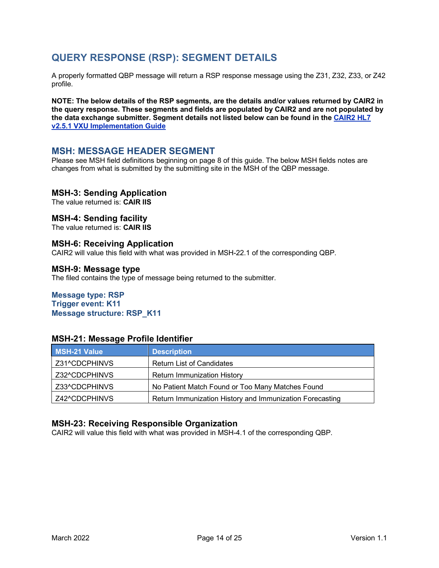# <span id="page-13-0"></span>**QUERY RESPONSE (RSP): SEGMENT DETAILS**

A properly formatted QBP message will return a RSP response message using the Z31, Z32, Z33, or Z42 profile.

**NOTE: The below details of the RSP segments, are the details and/or values returned by CAIR2 in the query response. These segments and fields are populated by CAIR2 and are not populated by the data exchange submitter. Segment details not listed below can be found in th[e CAIR2 HL7](http://cairweb.org/docs/CAIR2_HL7v2.5.1DataExchangeSpecs.pdf)  [v2.5.1 VXU Implementation Guide](http://cairweb.org/docs/CAIR2_HL7v2.5.1DataExchangeSpecs.pdf)**

# <span id="page-13-1"></span>**MSH: MESSAGE HEADER SEGMENT**

Please see MSH field definitions beginning on page 8 of this guide. The below MSH fields notes are changes from what is submitted by the submitting site in the MSH of the QBP message.

#### **MSH-3: Sending Application**

The value returned is: **CAIR IIS**

#### **MSH-4: Sending facility**

The value returned is: **CAIR IIS**

#### **MSH-6: Receiving Application**

CAIR2 will value this field with what was provided in MSH-22.1 of the corresponding QBP.

#### **MSH-9: Message type**

The filed contains the type of message being returned to the submitter.

### **Message type: RSP**

**Trigger event: K11 Message structure: RSP\_K11**

#### **MSH-21: Message Profile Identifier**

| MSH-21 Value  | <b>Description</b>                                       |
|---------------|----------------------------------------------------------|
| Z31^CDCPHINVS | <b>Return List of Candidates</b>                         |
| Z32^CDCPHINVS | <b>Return Immunization History</b>                       |
| Z33^CDCPHINVS | No Patient Match Found or Too Many Matches Found         |
| Z42^CDCPHINVS | Return Immunization History and Immunization Forecasting |

#### **MSH-23: Receiving Responsible Organization**

CAIR2 will value this field with what was provided in MSH-4.1 of the corresponding QBP.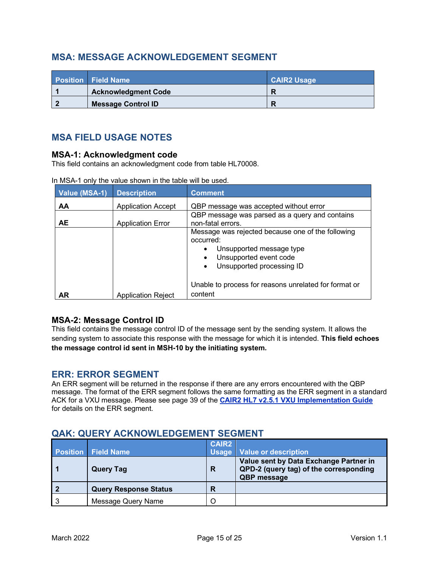# <span id="page-14-0"></span>**MSA: MESSAGE ACKNOWLEDGEMENT SEGMENT**

| <b>Position Field Name</b> | <b>CAIR2 Usage</b> |
|----------------------------|--------------------|
| <b>Acknowledgment Code</b> |                    |
| <b>Message Control ID</b>  |                    |

# <span id="page-14-1"></span>**MSA FIELD USAGE NOTES**

#### **MSA-1: Acknowledgment code**

This field contains an acknowledgment code from table HL70008.

| Value (MSA-1) | <b>Description</b>        | <b>Comment</b>                                                                                                                                                                           |  |
|---------------|---------------------------|------------------------------------------------------------------------------------------------------------------------------------------------------------------------------------------|--|
| AA            | <b>Application Accept</b> | QBP message was accepted without error                                                                                                                                                   |  |
| <b>AE</b>     | <b>Application Error</b>  | QBP message was parsed as a query and contains<br>non-fatal errors.                                                                                                                      |  |
|               |                           | Message was rejected because one of the following<br>occurred:<br>Unsupported message type<br>$\bullet$<br>Unsupported event code<br>$\bullet$<br>Unsupported processing ID<br>$\bullet$ |  |
| <b>AR</b>     | <b>Application Reject</b> | Unable to process for reasons unrelated for format or<br>content                                                                                                                         |  |

In MSA-1 only the value shown in the table will be used.

# **MSA-2: Message Control ID**

This field contains the message control ID of the message sent by the sending system. It allows the sending system to associate this response with the message for which it is intended. **This field echoes the message control id sent in MSH-10 by the initiating system.**

# <span id="page-14-2"></span>**ERR: ERROR SEGMENT**

An ERR segment will be returned in the response if there are any errors encountered with the QBP message. The format of the ERR segment follows the same formatting as the ERR segment in a standard ACK for a VXU message. Please see page 39 of the **[CAIR2 HL7 v2.5.1 VXU Implementation Guide](http://cairweb.org/docs/CAIR2_HL7v2.5.1DataExchangeSpecs.pdf)** for details on the ERR segment.

# <span id="page-14-3"></span>**QAK: QUERY ACKNOWLEDGEMENT SEGMENT**

|                |                              | <b>CAIR2</b> |                                                                                                        |
|----------------|------------------------------|--------------|--------------------------------------------------------------------------------------------------------|
|                | <b>Position Field Name</b>   |              | Usage   Value or description                                                                           |
|                | <b>Query Tag</b>             | R            | Value sent by Data Exchange Partner in<br>QPD-2 (query tag) of the corresponding<br><b>QBP</b> message |
| $\overline{2}$ | <b>Query Response Status</b> | R            |                                                                                                        |
| -3             | Message Query Name           |              |                                                                                                        |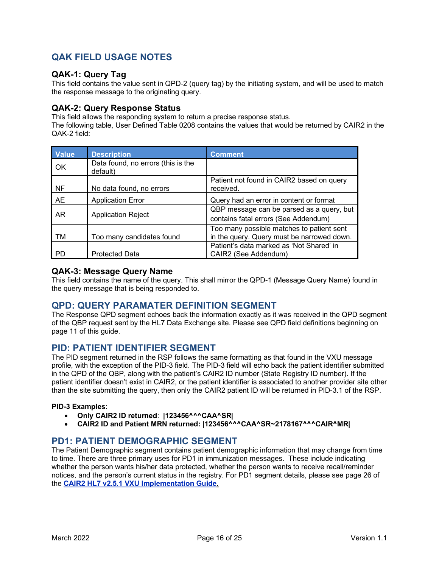# <span id="page-15-0"></span>**QAK FIELD USAGE NOTES**

### **QAK-1: Query Tag**

This field contains the value sent in QPD-2 (query tag) by the initiating system, and will be used to match the response message to the originating query.

### **QAK-2: Query Response Status**

This field allows the responding system to return a precise response status.

The following table, User Defined Table 0208 contains the values that would be returned by CAIR2 in the QAK-2 field:

| <b>Value</b> | <b>Description</b>                             | <b>Comment</b>                                                                          |
|--------------|------------------------------------------------|-----------------------------------------------------------------------------------------|
| OK           | Data found, no errors (this is the<br>default) |                                                                                         |
| NF           | No data found, no errors                       | Patient not found in CAIR2 based on query<br>received.                                  |
| <b>AE</b>    | <b>Application Error</b>                       | Query had an error in content or format                                                 |
| AR           | <b>Application Reject</b>                      | QBP message can be parsed as a query, but<br>contains fatal errors (See Addendum)       |
| TМ           | Too many candidates found                      | Too many possible matches to patient sent<br>in the query. Query must be narrowed down. |
| PD.          | <b>Protected Data</b>                          | Patient's data marked as 'Not Shared' in<br>CAIR2 (See Addendum)                        |

#### **QAK-3: Message Query Name**

This field contains the name of the query. This shall mirror the QPD-1 (Message Query Name) found in the query message that is being responded to.

# <span id="page-15-1"></span>**QPD: QUERY PARAMATER DEFINITION SEGMENT**

The Response QPD segment echoes back the information exactly as it was received in the QPD segment of the QBP request sent by the HL7 Data Exchange site. Please see QPD field definitions beginning on page 11 of this guide.

# <span id="page-15-2"></span>**PID: PATIENT IDENTIFIER SEGMENT**

The PID segment returned in the RSP follows the same formatting as that found in the VXU message profile, with the exception of the PID-3 field. The PID-3 field will echo back the patient identifier submitted in the QPD of the QBP, along with the patient's CAIR2 ID number (State Registry ID number). If the patient identifier doesn't exist in CAIR2, or the patient identifier is associated to another provider site other than the site submitting the query, then only the CAIR2 patient ID will be returned in PID-3.1 of the RSP.

#### **PID-3 Examples:**

- **Only CAIR2 ID returned**: **|123456^^^CAA^SR|**
- **CAIR2 ID and Patient MRN returned: |123456^^^CAA^SR~2178167^^^CAIR^MR|**

# <span id="page-15-3"></span>**PD1: PATIENT DEMOGRAPHIC SEGMENT**

The Patient Demographic segment contains patient demographic information that may change from time to time. There are three primary uses for PD1 in immunization messages. These include indicating whether the person wants his/her data protected, whether the person wants to receive recall/reminder notices, and the person's current status in the registry. For PD1 segment details, please see page 26 of the **[CAIR2 HL7 v2.5.1 VXU Implementation Guide](http://cairweb.org/docs/CAIR2_HL7v2.5.1DataExchangeSpecs.pdf)**.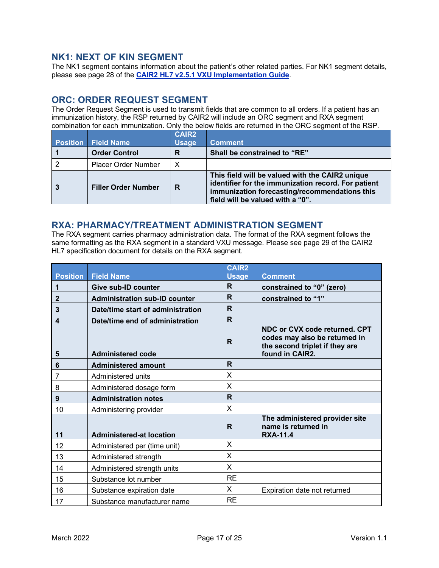# <span id="page-16-0"></span>**NK1: NEXT OF KIN SEGMENT**

The NK1 segment contains information about the patient's other related parties. For NK1 segment details, please see page 28 of the **[CAIR2 HL7 v2.5.1 VXU Implementation Guide](http://cairweb.org/docs/CAIR2_HL7v2.5.1DataExchangeSpecs.pdf)**.

# <span id="page-16-1"></span>**ORC: ORDER REQUEST SEGMENT**

The Order Request Segment is used to transmit fields that are common to all orders. If a patient has an immunization history, the RSP returned by CAIR2 will include an ORC segment and RXA segment combination for each immunization. Only the below fields are returned in the ORC segment of the RSP.

| <b>Position</b> | <b>Field Name</b>          | <b>CAIR2</b><br><b>Usage</b> | <b>Comment</b>                                                                                                                                                                              |
|-----------------|----------------------------|------------------------------|---------------------------------------------------------------------------------------------------------------------------------------------------------------------------------------------|
|                 | <b>Order Control</b>       | R                            | Shall be constrained to "RE"                                                                                                                                                                |
|                 | <b>Placer Order Number</b> | X                            |                                                                                                                                                                                             |
|                 | <b>Filler Order Number</b> | R                            | This field will be valued with the CAIR2 unique<br>identifier for the immunization record. For patient<br>immunization forecasting/recommendations this<br>field will be valued with a "0". |

# <span id="page-16-2"></span>**RXA: PHARMACY/TREATMENT ADMINISTRATION SEGMENT**

The RXA segment carries pharmacy administration data. The format of the RXA segment follows the same formatting as the RXA segment in a standard VXU message. Please see page 29 of the CAIR2 HL7 specification document for details on the RXA segment.

|                 |                                      | <b>CAIR2</b> |                                                                                                                     |
|-----------------|--------------------------------------|--------------|---------------------------------------------------------------------------------------------------------------------|
| <b>Position</b> | <b>Field Name</b>                    | <b>Usage</b> | <b>Comment</b>                                                                                                      |
| 1               | <b>Give sub-ID counter</b>           | R.           | constrained to "0" (zero)                                                                                           |
| $\mathbf{2}$    | <b>Administration sub-ID counter</b> | R.           | constrained to "1"                                                                                                  |
| 3               | Date/time start of administration    | R.           |                                                                                                                     |
| 4               | Date/time end of administration      | R            |                                                                                                                     |
| 5               | <b>Administered code</b>             | $\mathsf{R}$ | NDC or CVX code returned. CPT<br>codes may also be returned in<br>the second triplet if they are<br>found in CAIR2. |
| 6               | <b>Administered amount</b>           | R.           |                                                                                                                     |
| 7               | Administered units                   | X            |                                                                                                                     |
| 8               | Administered dosage form             | X            |                                                                                                                     |
| 9               | <b>Administration notes</b>          | R            |                                                                                                                     |
| 10              | Administering provider               | X            |                                                                                                                     |
| 11              | <b>Administered-at location</b>      | R            | The administered provider site<br>name is returned in<br><b>RXA-11.4</b>                                            |
| 12              | Administered per (time unit)         | X            |                                                                                                                     |
| 13              | Administered strength                | X            |                                                                                                                     |
| 14              | Administered strength units          | X            |                                                                                                                     |
| 15              | Substance lot number                 | <b>RE</b>    |                                                                                                                     |
| 16              | Substance expiration date            | $\mathsf{X}$ | Expiration date not returned                                                                                        |
| 17              | Substance manufacturer name          | <b>RE</b>    |                                                                                                                     |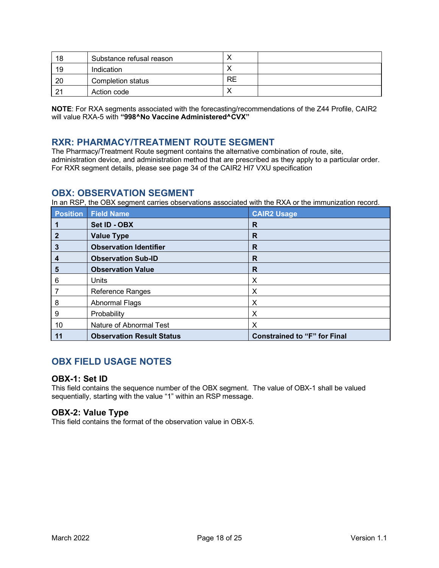| 18             | Substance refusal reason |    |  |
|----------------|--------------------------|----|--|
| 19             | Indication               |    |  |
| 20             | Completion status        | RE |  |
| 2 <sup>1</sup> | Action code              |    |  |

**NOTE**: For RXA segments associated with the forecasting/recommendations of the Z44 Profile, CAIR2 will value RXA-5 with "998^No Vaccine Administered^CVX"

# <span id="page-17-0"></span>**RXR: PHARMACY/TREATMENT ROUTE SEGMENT**

The Pharmacy/Treatment Route segment contains the alternative combination of route, site, administration device, and administration method that are prescribed as they apply to a particular order. For RXR segment details, please see page 34 of the CAIR2 Hl7 VXU specification

# <span id="page-17-1"></span>**OBX: OBSERVATION SEGMENT**

In an RSP, the OBX segment carries observations associated with the RXA or the immunization record.

| <b>Position</b> | <b>Field Name</b>                | <b>CAIR2 Usage</b>                  |
|-----------------|----------------------------------|-------------------------------------|
|                 | Set ID - OBX                     | R                                   |
| $\mathbf{2}$    | <b>Value Type</b>                | R                                   |
| 3               | <b>Observation Identifier</b>    | R                                   |
| 4               | <b>Observation Sub-ID</b>        | R                                   |
| 5               | <b>Observation Value</b>         | R                                   |
| 6               | <b>Units</b>                     | Х                                   |
|                 | Reference Ranges                 | Χ                                   |
| 8               | Abnormal Flags                   | Х                                   |
| 9               | Probability                      | X                                   |
| 10              | Nature of Abnormal Test          | Х                                   |
| 11              | <b>Observation Result Status</b> | <b>Constrained to "F" for Final</b> |

# <span id="page-17-2"></span>**OBX FIELD USAGE NOTES**

#### **OBX-1: Set ID**

This field contains the sequence number of the OBX segment. The value of OBX-1 shall be valued sequentially, starting with the value "1" within an RSP message.

### **OBX-2: Value Type**

This field contains the format of the observation value in OBX-5.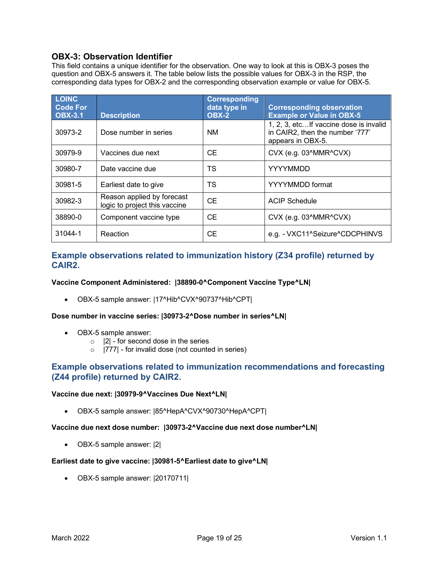# **OBX-3: Observation Identifier**

This field contains a unique identifier for the observation. One way to look at this is OBX-3 poses the question and OBX-5 answers it. The table below lists the possible values for OBX-3 in the RSP, the corresponding data types for OBX-2 and the corresponding observation example or value for OBX-5.

| <b>LOINC</b><br><b>Code For</b><br><b>OBX-3.1</b> | <b>Description</b>                                          | <b>Corresponding</b><br>data type in<br><b>OBX-2</b> | <b>Corresponding observation</b><br><b>Example or Value in OBX-5</b>                            |
|---------------------------------------------------|-------------------------------------------------------------|------------------------------------------------------|-------------------------------------------------------------------------------------------------|
| 30973-2                                           | Dose number in series                                       | <b>NM</b>                                            | 1, 2, 3, etc If vaccine dose is invalid<br>in CAIR2, then the number '777'<br>appears in OBX-5. |
| 30979-9                                           | Vaccines due next                                           | <b>CE</b>                                            | CVX (e.g. 03^MMR^CVX)                                                                           |
| 30980-7                                           | Date vaccine due                                            | TS                                                   | YYYYMMDD                                                                                        |
| 30981-5                                           | Earliest date to give                                       | TS                                                   | YYYYMMDD format                                                                                 |
| 30982-3                                           | Reason applied by forecast<br>logic to project this vaccine | <b>CE</b>                                            | <b>ACIP Schedule</b>                                                                            |
| 38890-0                                           | Component vaccine type                                      | <b>CE</b>                                            | CVX (e.g. 03^MMR^CVX)                                                                           |
| 31044-1                                           | Reaction                                                    | <b>CE</b>                                            | e.g. - VXC11^Seizure^CDCPHINVS                                                                  |

# **Example observations related to immunization history (Z34 profile) returned by CAIR2.**

#### **Vaccine Component Administered: |38890-0^Component Vaccine Type^LN|**

• OBX-5 sample answer: |17^Hib^CVX^90737^Hib^CPT|

#### **Dose number in vaccine series: |30973-2^Dose number in series^LN|**

- OBX-5 sample answer:
	- $\circ$  |2| for second dose in the series
	- $\circ$  |777| for invalid dose (not counted in series)

### **Example observations related to immunization recommendations and forecasting (Z44 profile) returned by CAIR2.**

#### **Vaccine due next: |30979-9^Vaccines Due Next^LN|**

• OBX-5 sample answer: |85^HepA^CVX^90730^HepA^CPT|

#### **Vaccine due next dose number: |30973-2^Vaccine due next dose number^LN|**

• OBX-5 sample answer: |2|

#### **Earliest date to give vaccine: |30981-5^Earliest date to give^LN|**

• OBX-5 sample answer: |20170711|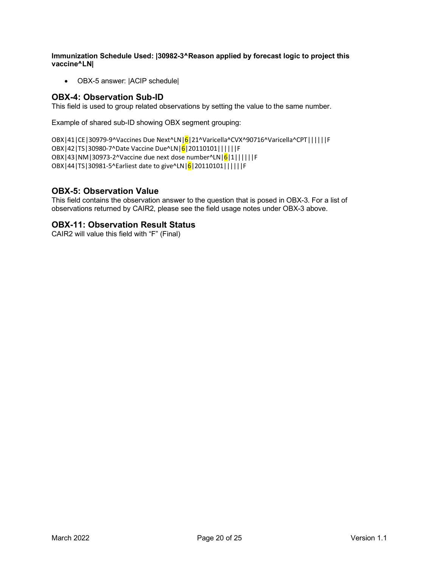**Immunization Schedule Used: |30982-3^Reason applied by forecast logic to project this vaccine^LN|**

• OBX-5 answer: |ACIP schedule|

# **OBX-4: Observation Sub-ID**

This field is used to group related observations by setting the value to the same number.

Example of shared sub-ID showing OBX segment grouping:

OBX|41|CE|30979-9^Vaccines Due Next^LN|6|21^Varicella^CVX^90716^Varicella^CPT||||||F OBX|42|TS|30980-7^Date Vaccine Due^LN|6|20110101||||||F OBX|43|NM|30973-2^Vaccine due next dose number^LN|6|1||||||F OBX|44|TS|30981-5^Earliest date to give^LN|6|20110101||||||F

### **OBX-5: Observation Value**

This field contains the observation answer to the question that is posed in OBX-3. For a list of observations returned by CAIR2, please see the field usage notes under OBX-3 above.

### **OBX-11: Observation Result Status**

CAIR2 will value this field with "F" (Final)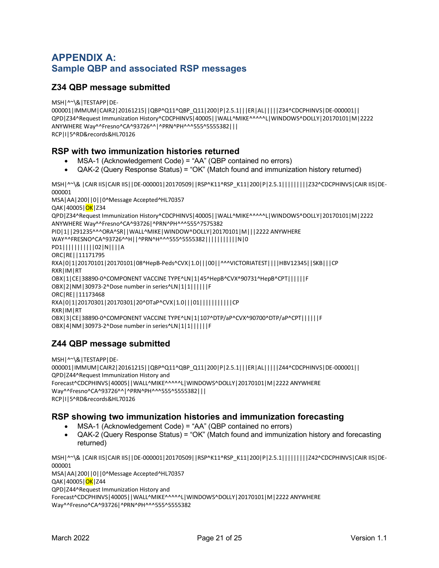# <span id="page-20-1"></span><span id="page-20-0"></span>**APPENDIX A: Sample QBP and associated RSP messages**

# **Z34 QBP message submitted**

MSH|^~\&|TESTAPP|DE-000001|IMMUM|CAIR2|20161215||QBP^Q11^QBP\_Q11|200|P|2.5.1|||ER|AL|||||Z34^CDCPHINVS|DE-000001|| QPD|Z34^Request Immunization History^CDCPHINVS|40005||WALL^MIKE^^^^^L|WINDOWS^DOLLY|20170101|M|2222 ANYWHERE Way^^Fresno^CA^93726^^|^PRN^PH^^^555^5555382||| RCP|I|5^RD&records&HL70126

### **RSP with two immunization histories returned**

- MSA-1 (Acknowledgement Code) = "AA" (QBP contained no errors)
- QAK-2 (Query Response Status) = "OK" (Match found and immunization history returned)

MSH|^~\& |CAIR IIS|CAIR IIS||DE-000001|20170509||RSP^K11^RSP\_K11|200|P|2.5.1|||||||||Z32^CDCPHINVS|CAIR IIS|DE-000001

MSA|AA|200||0||0^Message Accepted^HL70357 QAK | 40005 | <mark>OK</mark> | Z34 QPD|Z34^Request Immunization History^CDCPHINVS|40005||WALL^MIKE^^^^^L|WINDOWS^DOLLY|20170101|M|2222 ANYWHERE Way^^Fresno^CA^93726|^PRN^PH^^^555^7575382 PID|1||291235^^^ORA^SR||WALL^MIKE|WINDOW^DOLLY|20170101|M|||2222 ANYWHERE WAY^^FRESNO^CA^93726^^H||^PRN^H^^^555^5555382|||||||||||N|0 PD1|||||||||||02|N||||A ORC|RE||11171795 RXA|0|1|20170101|20170101|08^HepB-Peds^CVX|1.0|||00||^^^VICTORIATEST||||HBV12345||SKB|||CP RXR|IM|RT OBX|1|CE|38890-0^COMPONENT VACCINE TYPE^LN|1|45^HepB^CVX^90731^HepB^CPT||||||F OBX|2|NM|30973-2^Dose number in series^LN|1|1||||||F ORC|RE||11173468 RXA|0|1|20170301|20170301|20^DTaP^CVX|1.0|||01|||||||||||CP RXR|IM|RT OBX|3|CE|38890-0^COMPONENT VACCINE TYPE^LN|1|107^DTP/aP^CVX^90700^DTP/aP^CPT||||||F OBX|4|NM|30973-2^Dose number in series^LN|1|1||||||F

# **Z44 QBP message submitted**

MSH|^~\&|TESTAPP|DE-000001|IMMUM|CAIR2|20161215||QBP^Q11^QBP\_Q11|200|P|2.5.1|||ER|AL|||||Z44^CDCPHINVS|DE-000001|| QPD|Z44^Request Immunization History and Forecast^CDCPHINVS|40005||WALL^MIKE^^^^^L|WINDOWS^DOLLY|20170101|M|2222 ANYWHERE Way^^Fresno^CA^93726^^|^PRN^PH^^^555^5555382||| RCP|I|5^RD&records&HL70126

### **RSP showing two immunization histories and immunization forecasting**

- MSA-1 (Acknowledgement Code) = "AA" (QBP contained no errors)
- QAK-2 (Query Response Status) = "OK" (Match found and immunization history and forecasting returned)

MSH|^~\& |CAIR IIS|CAIR IIS||DE-000001|20170509||RSP^K11^RSP\_K11|200|P|2.5.1|||||||||Z42^CDCPHINVS|CAIR IIS|DE-000001 MSA|AA|200||0||0^Message Accepted^HL70357 QAK|40005|<mark>OK</mark>|Z44 QPD|Z44^Request Immunization History and Forecast^CDCPHINVS|40005||WALL^MIKE^^^^^L|WINDOWS^DOLLY|20170101|M|2222 ANYWHERE Way^^Fresno^CA^93726|^PRN^PH^^^555^5555382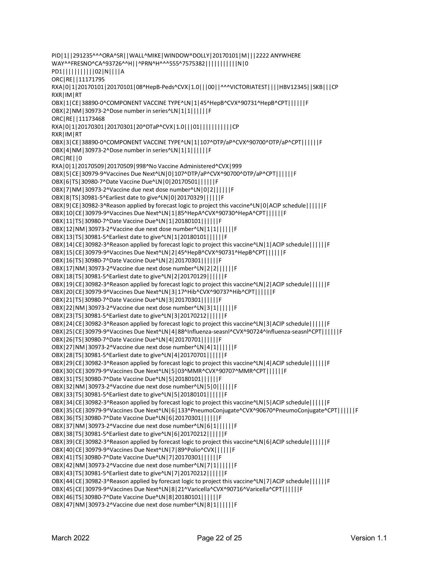PID|1||291235^^^ORA^SR||WALL^MIKE|WINDOW^DOLLY|20170101|M|||2222 ANYWHERE WAY^^FRESNO^CA^93726^^H||^PRN^H^^^555^7575382|||||||||||N|0 PD1|||||||||||02|N||||A ORC|RE||11171795 RXA|0|1|20170101|20170101|08^HepB-Peds^CVX|1.0|||00||^^^VICTORIATEST||||HBV12345||SKB|||CP RXR|IM|RT OBX|1|CE|38890-0^COMPONENT VACCINE TYPE^LN|1|45^HepB^CVX^90731^HepB^CPT||||||F OBX|2|NM|30973-2^Dose number in series^LN|1|1||||||F ORC|RE||11173468 RXA|0|1|20170301|20170301|20^DTaP^CVX|1.0|||01|||||||||||CP RXR|IM|RT OBX|3|CE|38890-0^COMPONENT VACCINE TYPE^LN|1|107^DTP/aP^CVX^90700^DTP/aP^CPT||||||F OBX|4|NM|30973-2^Dose number in series^LN|1|1||||||F ORC|RE||0 RXA|0|1|20170509|20170509|998^No Vaccine Administered^CVX|999 OBX|5|CE|30979-9^Vaccines Due Next^LN|0|107^DTP/aP^CVX^90700^DTP/aP^CPT||||||F OBX|6|TS|30980-7^Date Vaccine Due^LN|0|20170501||||||F OBX|7|NM|30973-2^Vaccine due next dose number^LN|0|2||||||F OBX|8|TS|30981-5^Earliest date to give^LN|0|20170329||||||F OBX|9|CE|30982-3^Reason applied by forecast logic to project this vaccine^LN|0|ACIP schedule||||||F OBX|10|CE|30979-9^Vaccines Due Next^LN|1|85^HepA^CVX^90730^HepA^CPT||||||F OBX|11|TS|30980-7^Date Vaccine Due^LN|1|20180101||||||F OBX|12|NM|30973-2^Vaccine due next dose number^LN|1|1||||||F OBX|13|TS|30981-5^Earliest date to give^LN|1|20180101||||||F OBX|14|CE|30982-3^Reason applied by forecast logic to project this vaccine^LN|1|ACIP schedule||||||F OBX|15|CE|30979-9^Vaccines Due Next^LN|2|45^HepB^CVX^90731^HepB^CPT||||||F OBX|16|TS|30980-7^Date Vaccine Due^LN|2|20170301||||||F OBX|17|NM|30973-2^Vaccine due next dose number^LN|2|2||||||F OBX|18|TS|30981-5^Earliest date to give^LN|2|20170129||||||F OBX|19|CE|30982-3^Reason applied by forecast logic to project this vaccine^LN|2|ACIP schedule||||||F OBX|20|CE|30979-9^Vaccines Due Next^LN|3|17^Hib^CVX^90737^Hib^CPT||||||F OBX|21|TS|30980-7^Date Vaccine Due^LN|3|20170301||||||F OBX|22|NM|30973-2^Vaccine due next dose number^LN|3|1||||||F OBX|23|TS|30981-5^Earliest date to give^LN|3|20170212||||||F OBX|24|CE|30982-3^Reason applied by forecast logic to project this vaccine^LN|3|ACIP schedule||||||F OBX|25|CE|30979-9^Vaccines Due Next^LN|4|88^Influenza-seasnl^CVX^90724^Influenza-seasnl^CPT||||||F OBX|26|TS|30980-7^Date Vaccine Due^LN|4|20170701||||||F OBX|27|NM|30973-2^Vaccine due next dose number^LN|4|1||||||F OBX|28|TS|30981-5^Earliest date to give^LN|4|20170701||||||F OBX|29|CE|30982-3^Reason applied by forecast logic to project this vaccine^LN|4|ACIP schedule||||||F OBX|30|CE|30979-9^Vaccines Due Next^LN|5|03^MMR^CVX^90707^MMR^CPT||||||F OBX|31|TS|30980-7^Date Vaccine Due^LN|5|20180101||||||F OBX|32|NM|30973-2^Vaccine due next dose number^LN|5|0||||||F OBX|33|TS|30981-5^Earliest date to give^LN|5|20180101||||||F OBX|34|CE|30982-3^Reason applied by forecast logic to project this vaccine^LN|5|ACIP schedule||||||F OBX|35|CE|30979-9^Vaccines Due Next^LN|6|133^PneumoConjugate^CVX^90670^PneumoConjugate^CPT||||||F OBX|36|TS|30980-7^Date Vaccine Due^LN|6|20170301||||||F OBX|37|NM|30973-2^Vaccine due next dose number^LN|6|1||||||F OBX|38|TS|30981-5^Earliest date to give^LN|6|20170212||||||F OBX|39|CE|30982-3^Reason applied by forecast logic to project this vaccine^LN|6|ACIP schedule||||||F OBX|40|CE|30979-9^Vaccines Due Next^LN|7|89^Polio^CVX||||||F OBX|41|TS|30980-7^Date Vaccine Due^LN|7|20170301||||||F OBX|42|NM|30973-2^Vaccine due next dose number^LN|7|1||||||F OBX|43|TS|30981-5^Earliest date to give^LN|7|20170212||||||F OBX|44|CE|30982-3^Reason applied by forecast logic to project this vaccine^LN|7|ACIP schedule||||||F OBX|45|CE|30979-9^Vaccines Due Next^LN|8|21^Varicella^CVX^90716^Varicella^CPT||||||F OBX|46|TS|30980-7^Date Vaccine Due^LN|8|20180101||||||F OBX|47|NM|30973-2^Vaccine due next dose number^LN|8|1||||||F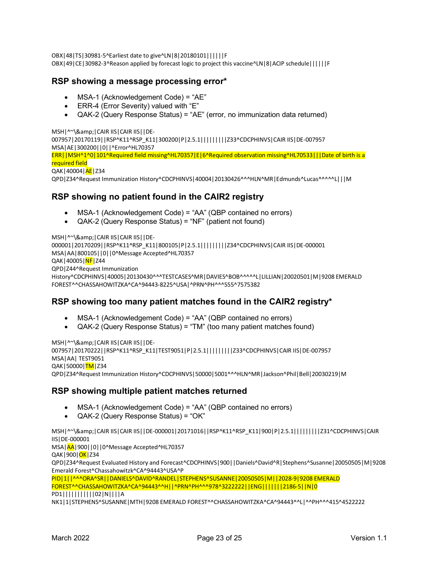# **RSP showing a message processing error\***

**RSP showing no patient found in the CAIR2 registry**

FOREST^^CHASSAHOWITZKA^CA^94443-8225^USA|^PRN^PH^^^555^7575382

• QAK-2 (Query Response Status) = "NF" (patient not found)

• MSA-1 (Acknowledgement Code) = "AA" (QBP contained no errors)

000001|20170209||RSP^K11^RSP\_K11|800105|P|2.5.1|||||||||Z34^CDCPHINVS|CAIR IIS|DE-000001

• MSA-1 (Acknowledgement Code) = "AE" • ERR-4 (Error Severity) valued with "E"

MSH|^~\&|CAIR IIS|CAIR IIS||DE-

MSA|AE|300200||0||^Error^HL70357

MSH|^~\&|CAIR IIS|CAIR IIS||DE-

QPD|Z44^Request Immunization

MSA|AA|800105||0||0^Message Accepted^HL70357

required field QAK|40004|AE|Z34

QAK|40005|<mark>NF</mark>|Z44

OBX|48|TS|30981-5^Earliest date to give^LN|8|20180101||||||F OBX|49|CE|30982-3^Reason applied by forecast logic to project this vaccine^LN|8|ACIP schedule||||||F

• QAK-2 (Query Response Status) = "AE" (error, no immunization data returned)

ERR||MSH^1^0|101^Required field missing^HL70357|E|6^Required observation missing^HL70533|||Date of birth is a

QPD|Z34^Request Immunization History^CDCPHINVS|40004|20130426^^^HLN^MR|Edmunds^Lucas^^^^^L|||M

007957|20170119||RSP^K11^RSP\_K11|300200|P|2.5.1||||||||Z33^CDCPHINVS|CAIR IIS|DE-007957

• MSA-1 (Acknowledgement Code) = "AA" (QBP contained no errors) • QAK-2 (Query Response Status) = "TM" (too many patient matches found)

**RSP showing too many patient matches found in the CAIR2 registry\***

History^CDCPHINVS|40005|20130430^^^TESTCASES^MR|DAVIES^BOB^^^^^L|LILLIAN|20020501|M|9208 EMERALD

MSH | ^~\& | CAIR IIS | CAIR IIS | | DE-007957|20170222||RSP^K11^RSP\_K11|TEST9051|P|2.5.1|||||||||Z33^CDCPHINVS|CAIR IIS|DE-007957 MSA|AA| TEST9051 QAK|50000|TM Z34 QPD|Z34^Request Immunization History^CDCPHINVS|50000|5001^^^HLN^MR|Jackson^Phil|Bell|20030219|M

# **RSP showing multiple patient matches returned**

- MSA-1 (Acknowledgement Code) = "AA" (QBP contained no errors)
- QAK-2 (Query Response Status) = "OK"

MSH|^~\&|CAIR IIS|CAIR IIS||DE-000001|20171016||RSP^K11^RSP\_K11|900|P|2.5.1|||||||||Z31^CDCPHINVS|CAIR IIS|DE-000001

MSA|AA|900||0||0^Message Accepted^HL70357

QAK|900|<mark>OK</mark>|Z34

QPD|Z34^Request Evaluated History and Forecast^CDCPHINVS|900||Daniels^David^R|Stephens^Susanne|20050505|M|9208 Emerald Forest^Chassahowitzk^CA^94443^USA^P

PID|1||^^^ORA^SR||DANIELS^DAVID^RANDEL|STEPHENS^SUSANNE|20050505|M||2028-9|9208 EMERALD FOREST^^CHASSAHOWITZKA^CA^94443^^H||^PRN^PH^^^978^3222222||ENG|||||||2186-5||N|0 PD1|||||||||||02|N||||A

NK1|1|STEPHENS^SUSANNE|MTH|9208 EMERALD FOREST^^CHASSAHOWITZKA^CA^94443^^L|^^PH^^^415^4522222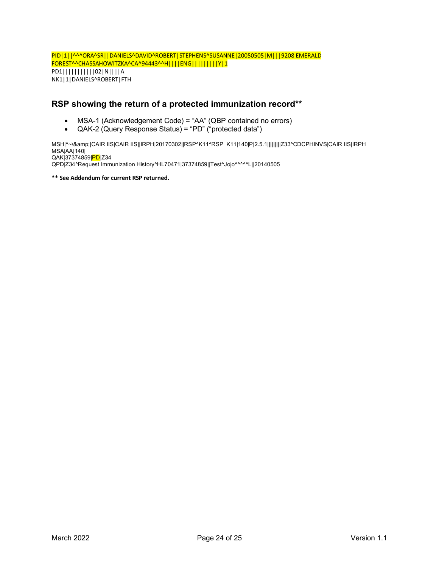PID|1||^^^ORA^SR||DANIELS^DAVID^ROBERT|STEPHENS^SUSANNE|20050505|M|||9208 EMERALD FOREST^^CHASSAHOWITZKA^CA^94443^^H||||ENG|||||||||Y|1 PD1|||||||||||02|N||||A NK1|1|DANIELS^ROBERT|FTH

# **RSP showing the return of a protected immunization record\*\***

- MSA-1 (Acknowledgement Code) = "AA" (QBP contained no errors)
- QAK-2 (Query Response Status) = "PD" ("protected data")

[MSH|^~\&|CAIR IIS|CAIR IIS||IRPH|20170302||RSP^K11^RSP\\_K11|140|P|2.5.1|||||||||Z33^CDCPHINVS|CAIR IIS|IRPH](https://urldefense.proofpoint.com/v2/url?u=http-3A__www.immregistries.org_events_2017_04_11_aira-2D2017-2Diis-2Dnational-2Dmeeting&d=DwMF-g&c=Lr0a7ed3egkbwePCNW4ROg&r=bmsiOoVr0Ah6DOUrd-vIuGNGDdMFh8PSSJG7zZtVYvo&m=I6LpykWFO6S9OMcpolVEq9x4dbMtvqgErklsuSC1QH8&s=hrk7luMxxoDSK515Ll02eh7Uxb6JO-OmYtpLQdS_FZ8&e=) [MSA|AA|140|](https://urldefense.proofpoint.com/v2/url?u=http-3A__www.immregistries.org_events_2017_04_11_aira-2D2017-2Diis-2Dnational-2Dmeeting&d=DwMF-g&c=Lr0a7ed3egkbwePCNW4ROg&r=bmsiOoVr0Ah6DOUrd-vIuGNGDdMFh8PSSJG7zZtVYvo&m=I6LpykWFO6S9OMcpolVEq9x4dbMtvqgErklsuSC1QH8&s=hrk7luMxxoDSK515Ll02eh7Uxb6JO-OmYtpLQdS_FZ8&e=) [QAK|37374859|PD|Z34](https://urldefense.proofpoint.com/v2/url?u=http-3A__www.immregistries.org_events_2017_04_11_aira-2D2017-2Diis-2Dnational-2Dmeeting&d=DwMF-g&c=Lr0a7ed3egkbwePCNW4ROg&r=bmsiOoVr0Ah6DOUrd-vIuGNGDdMFh8PSSJG7zZtVYvo&m=I6LpykWFO6S9OMcpolVEq9x4dbMtvqgErklsuSC1QH8&s=hrk7luMxxoDSK515Ll02eh7Uxb6JO-OmYtpLQdS_FZ8&e=) [QPD|Z34^Request Immunization History^HL70471|37374859||Test^Jojo^^^^^L||20140505](https://urldefense.proofpoint.com/v2/url?u=http-3A__www.immregistries.org_events_2017_04_11_aira-2D2017-2Diis-2Dnational-2Dmeeting&d=DwMF-g&c=Lr0a7ed3egkbwePCNW4ROg&r=bmsiOoVr0Ah6DOUrd-vIuGNGDdMFh8PSSJG7zZtVYvo&m=I6LpykWFO6S9OMcpolVEq9x4dbMtvqgErklsuSC1QH8&s=hrk7luMxxoDSK515Ll02eh7Uxb6JO-OmYtpLQdS_FZ8&e=)

**\*\* See Addendum for current RSP returned.**